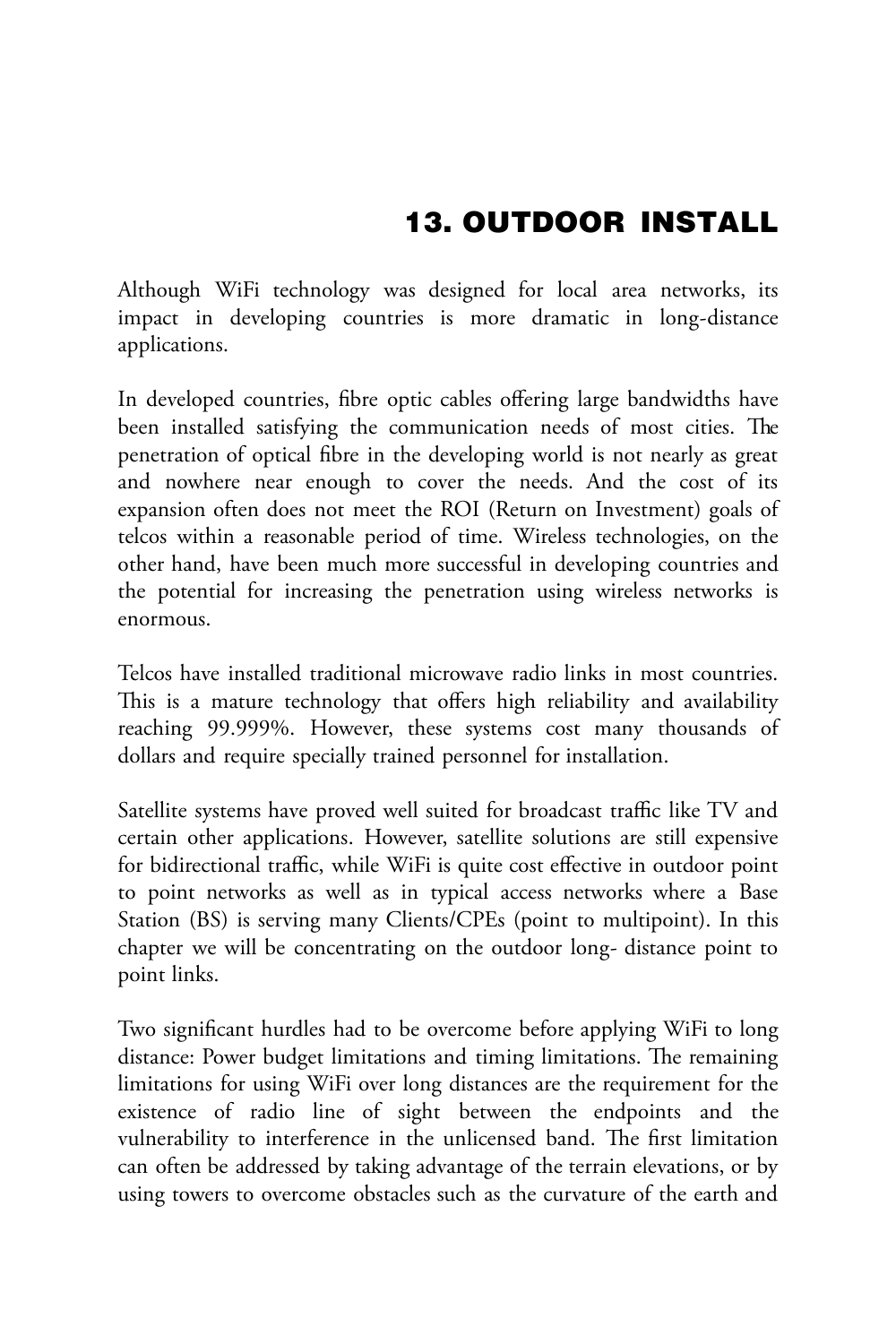Although WiFi technology was designed for local area networks, its impact in developing countries is more dramatic in long-distance applications.

In developed countries, fibre optic cables offering large bandwidths have been installed satisfying the communication needs of most cities. The penetration of optical fibre in the developing world is not nearly as great and nowhere near enough to cover the needs. And the cost of its expansion often does not meet the ROI (Return on Investment) goals of telcos within a reasonable period of time. Wireless technologies, on the other hand, have been much more successful in developing countries and the potential for increasing the penetration using wireless networks is enormous.

Telcos have installed traditional microwave radio links in most countries. This is a mature technology that offers high reliability and availability reaching 99.999%. However, these systems cost many thousands of dollars and require specially trained personnel for installation.

Satellite systems have proved well suited for broadcast traffic like TV and certain other applications. However, satellite solutions are still expensive for bidirectional traffic, while WiFi is quite cost effective in outdoor point to point networks as well as in typical access networks where a Base Station (BS) is serving many Clients/CPEs (point to multipoint). In this chapter we will be concentrating on the outdoor long- distance point to point links.

Two significant hurdles had to be overcome before applying WiFi to long distance: Power budget limitations and timing limitations. The remaining limitations for using WiFi over long distances are the requirement for the existence of radio line of sight between the endpoints and the vulnerability to interference in the unlicensed band. The first limitation can often be addressed by taking advantage of the terrain elevations, or by using towers to overcome obstacles such as the curvature of the earth and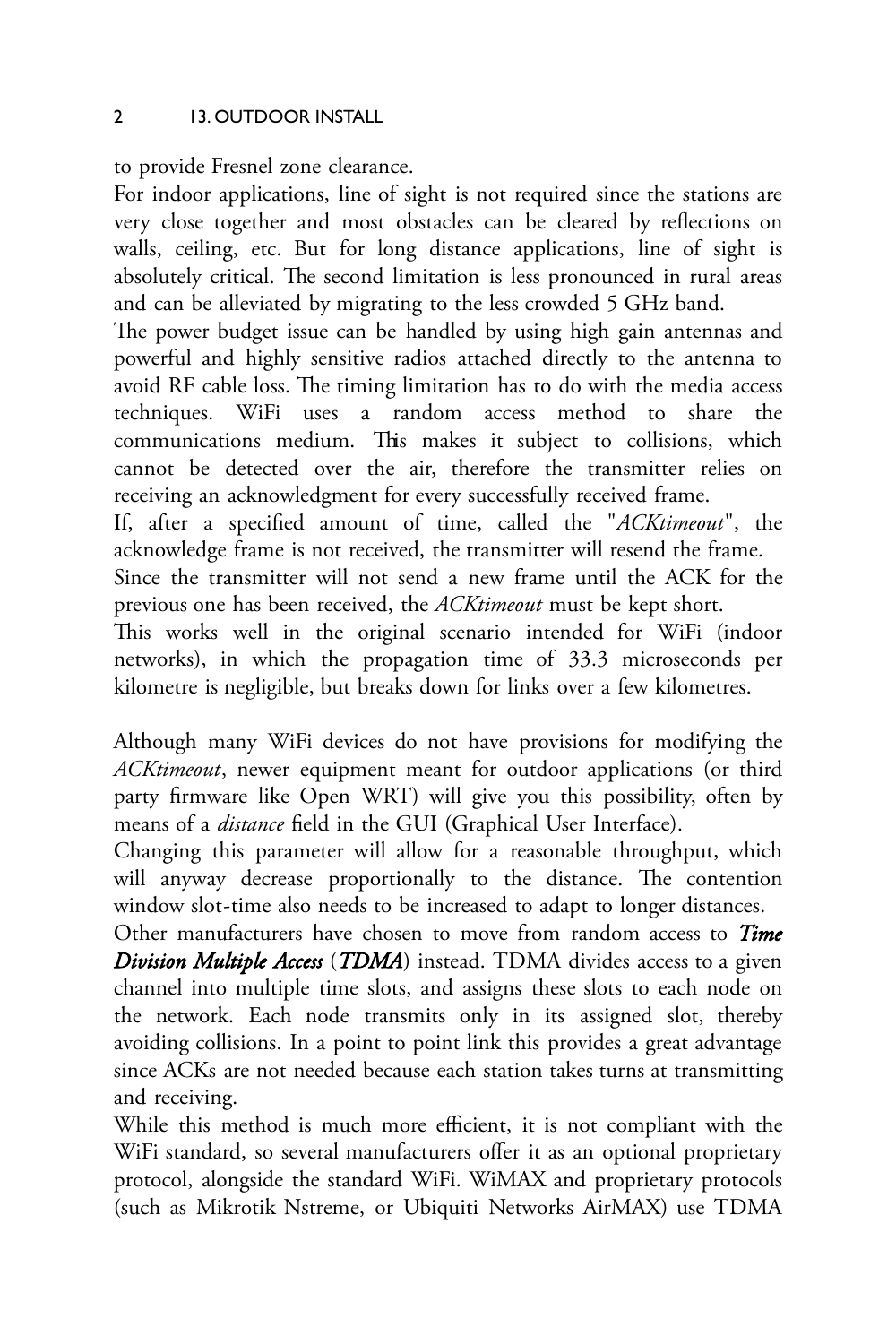to provide Fresnel zone clearance.

For indoor applications, line of sight is not required since the stations are very close together and most obstacles can be cleared by refections on walls, ceiling, etc. But for long distance applications, line of sight is absolutely critical. The second limitation is less pronounced in rural areas and can be alleviated by migrating to the less crowded 5 GHz band.

The power budget issue can be handled by using high gain antennas and powerful and highly sensitive radios attached directly to the antenna to avoid RF cable loss. The timing limitation has to do with the media access techniques. WiFi uses a random access method to share the communications medium. This makes it subject to collisions, which cannot be detected over the air, therefore the transmitter relies on receiving an acknowledgment for every successfully received frame.

If, after a specified amount of time, called the "*ACKtimeout*", the acknowledge frame is not received, the transmitter will resend the frame.

Since the transmitter will not send a new frame until the ACK for the previous one has been received, the *ACKtimeout* must be kept short.

This works well in the original scenario intended for WiFi (indoor networks), in which the propagation time of 33.3 microseconds per kilometre is negligible, but breaks down for links over a few kilometres.

Although many WiFi devices do not have provisions for modifying the *ACKtimeout*, newer equipment meant for outdoor applications (or third party firmware like Open WRT) will give you this possibility, often by means of a *distance* field in the GUI (Graphical User Interface).

Changing this parameter will allow for a reasonable throughput, which will anyway decrease proportionally to the distance. The contention window slot-time also needs to be increased to adapt to longer distances.

Other manufacturers have chosen to move from random access to *Time Division Multiple Access* (*TDMA*) instead. TDMA divides access to a given channel into multiple time slots, and assigns these slots to each node on the network. Each node transmits only in its assigned slot, thereby avoiding collisions. In a point to point link this provides a great advantage since ACKs are not needed because each station takes turns at transmitting and receiving.

While this method is much more efficient, it is not compliant with the WiFi standard, so several manufacturers offer it as an optional proprietary protocol, alongside the standard WiFi. WiMAX and proprietary protocols (such as Mikrotik Nstreme, or Ubiquiti Networks AirMAX) use TDMA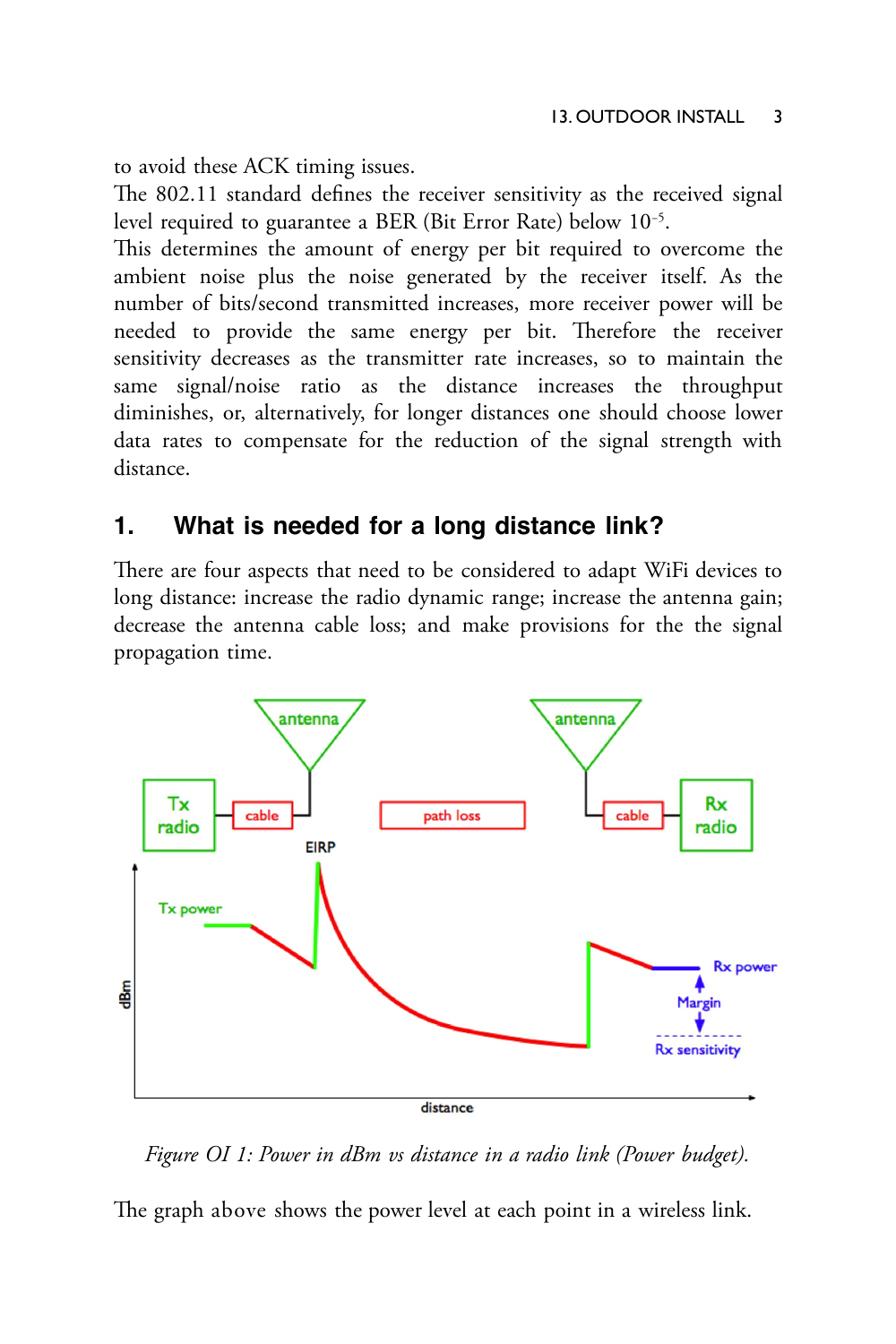to avoid these ACK timing issues.

The 802.11 standard defines the receiver sensitivity as the received signal level required to guarantee a BER (Bit Error Rate) below 10−5 .

This determines the amount of energy per bit required to overcome the ambient noise plus the noise generated by the receiver itself. As the number of bits/second transmitted increases, more receiver power will be needed to provide the same energy per bit. Therefore the receiver sensitivity decreases as the transmitter rate increases, so to maintain the same signal/noise ratio as the distance increases the throughput diminishes, or, alternatively, for longer distances one should choose lower data rates to compensate for the reduction of the signal strength with distance.

### **1. What is needed for a long distance link?**

There are four aspects that need to be considered to adapt WiFi devices to long distance: increase the radio dynamic range; increase the antenna gain; decrease the antenna cable loss; and make provisions for the the signal propagation time.



*Figure OI 1: Power in dBm vs distance in a radio link (Power budget).*

The graph above shows the power level at each point in a wireless link.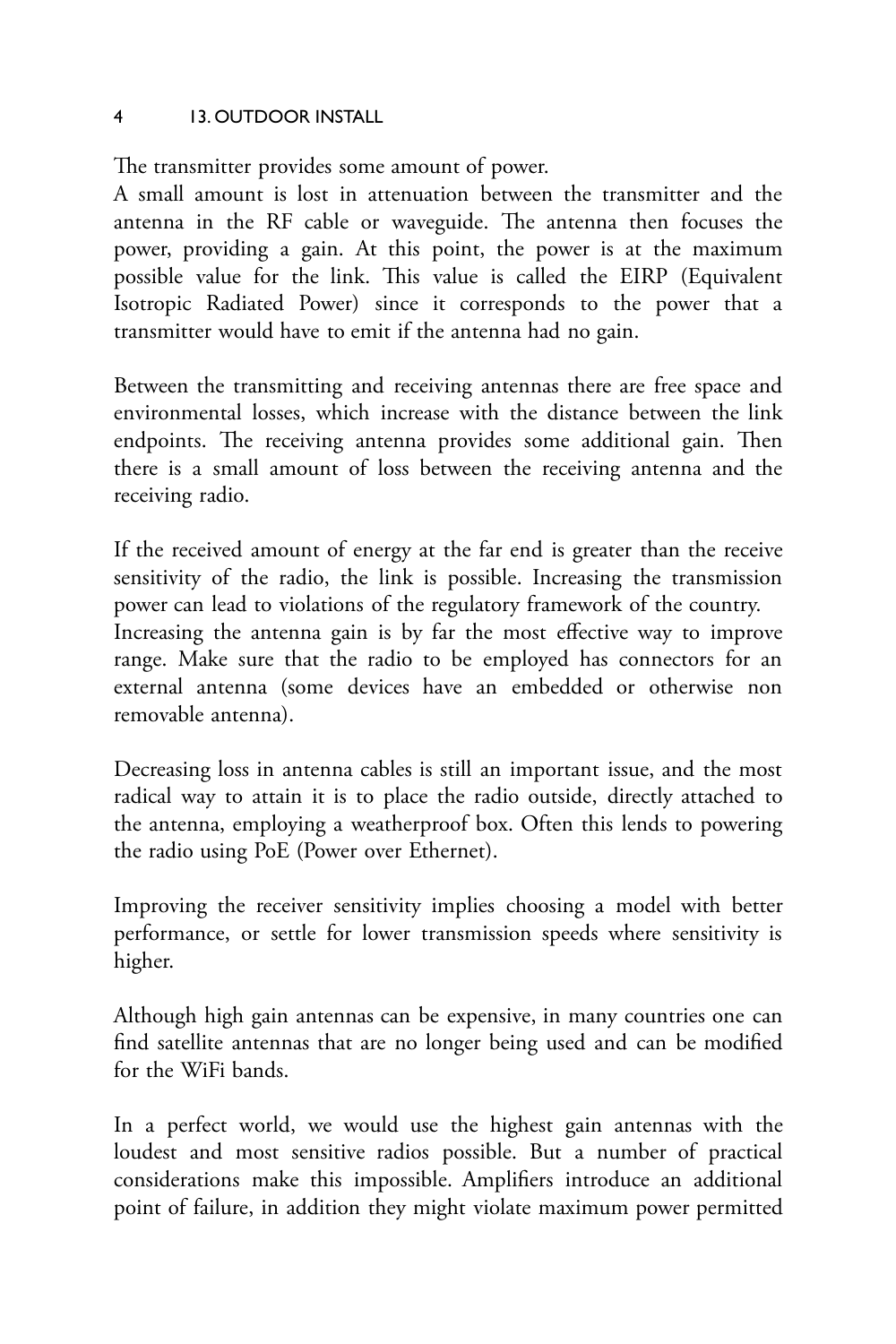The transmitter provides some amount of power.

A small amount is lost in attenuation between the transmitter and the antenna in the RF cable or waveguide. The antenna then focuses the power, providing a gain. At this point, the power is at the maximum possible value for the link. Tis value is called the EIRP (Equivalent Isotropic Radiated Power) since it corresponds to the power that a transmitter would have to emit if the antenna had no gain.

Between the transmitting and receiving antennas there are free space and environmental losses, which increase with the distance between the link endpoints. The receiving antenna provides some additional gain. Then there is a small amount of loss between the receiving antenna and the receiving radio.

If the received amount of energy at the far end is greater than the receive sensitivity of the radio, the link is possible. Increasing the transmission power can lead to violations of the regulatory framework of the country. Increasing the antenna gain is by far the most effective way to improve range. Make sure that the radio to be employed has connectors for an external antenna (some devices have an embedded or otherwise non removable antenna).

Decreasing loss in antenna cables is still an important issue, and the most radical way to attain it is to place the radio outside, directly attached to the antenna, employing a weatherproof box. Often this lends to powering the radio using PoE (Power over Ethernet).

Improving the receiver sensitivity implies choosing a model with better performance, or settle for lower transmission speeds where sensitivity is higher.

Although high gain antennas can be expensive, in many countries one can find satellite antennas that are no longer being used and can be modified for the WiFi bands.

In a perfect world, we would use the highest gain antennas with the loudest and most sensitive radios possible. But a number of practical considerations make this impossible. Amplifiers introduce an additional point of failure, in addition they might violate maximum power permitted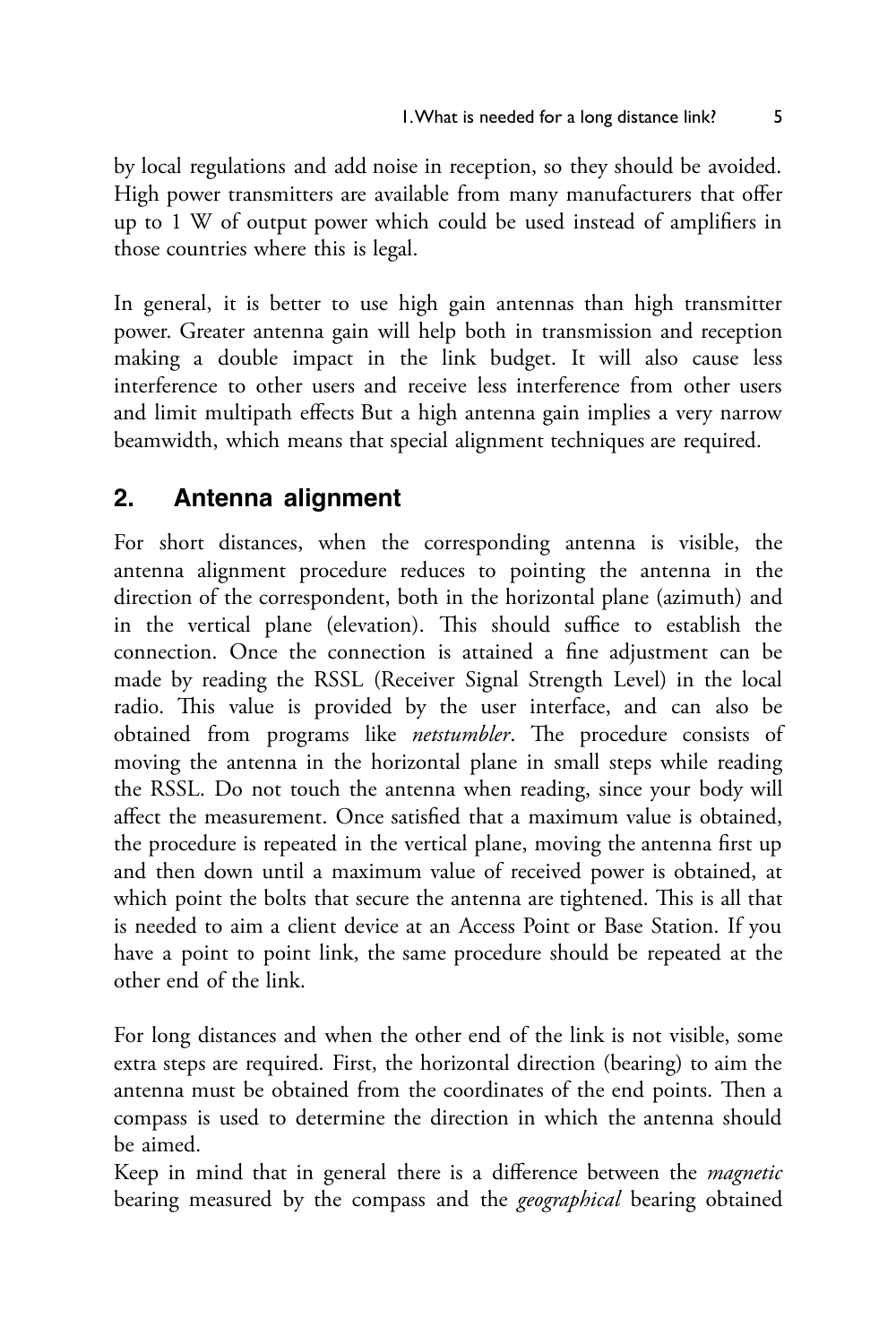by local regulations and add noise in reception, so they should be avoided. High power transmitters are available from many manufacturers that offer up to 1 W of output power which could be used instead of amplifiers in those countries where this is legal.

In general, it is better to use high gain antennas than high transmitter power. Greater antenna gain will help both in transmission and reception making a double impact in the link budget. It will also cause less interference to other users and receive less interference from other users and limit multipath effects But a high antenna gain implies a very narrow beamwidth, which means that special alignment techniques are required.

## **2. Antenna alignment**

For short distances, when the corresponding antenna is visible, the antenna alignment procedure reduces to pointing the antenna in the direction of the correspondent, both in the horizontal plane (azimuth) and in the vertical plane (elevation). This should suffice to establish the connection. Once the connection is attained a fine adjustment can be made by reading the RSSL (Receiver Signal Strength Level) in the local radio. This value is provided by the user interface, and can also be obtained from programs like *netstumbler*. The procedure consists of moving the antenna in the horizontal plane in small steps while reading the RSSL. Do not touch the antenna when reading, since your body will affect the measurement. Once satisfied that a maximum value is obtained, the procedure is repeated in the vertical plane, moving the antenna first up and then down until a maximum value of received power is obtained, at which point the bolts that secure the antenna are tightened. This is all that is needed to aim a client device at an Access Point or Base Station. If you have a point to point link, the same procedure should be repeated at the other end of the link.

For long distances and when the other end of the link is not visible, some extra steps are required. First, the horizontal direction (bearing) to aim the antenna must be obtained from the coordinates of the end points. Then a compass is used to determine the direction in which the antenna should be aimed.

Keep in mind that in general there is a difference between the *magnetic* bearing measured by the compass and the *geographical* bearing obtained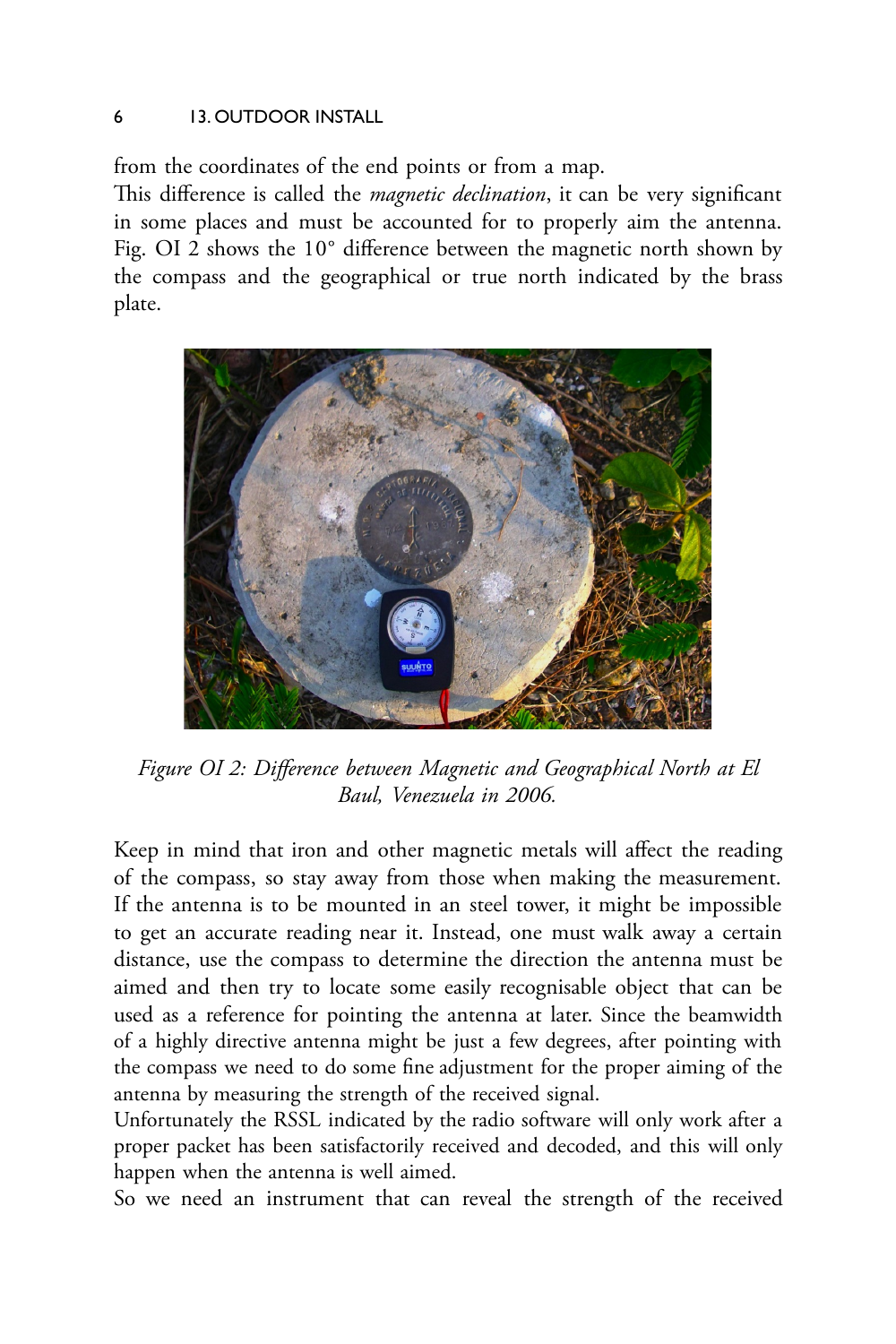from the coordinates of the end points or from a map.

This difference is called the *magnetic declination*, it can be very significant in some places and must be accounted for to properly aim the antenna. Fig. OI 2 shows the 10° difference between the magnetic north shown by the compass and the geographical or true north indicated by the brass plate.



*Figure OI 2: Difference between Magnetic and Geographical North at El Baul, Venezuela in 2006.*

Keep in mind that iron and other magnetic metals will affect the reading of the compass, so stay away from those when making the measurement. If the antenna is to be mounted in an steel tower, it might be impossible to get an accurate reading near it. Instead, one must walk away a certain distance, use the compass to determine the direction the antenna must be aimed and then try to locate some easily recognisable object that can be used as a reference for pointing the antenna at later. Since the beamwidth of a highly directive antenna might be just a few degrees, after pointing with the compass we need to do some fine adjustment for the proper aiming of the antenna by measuring the strength of the received signal.

Unfortunately the RSSL indicated by the radio software will only work after a proper packet has been satisfactorily received and decoded, and this will only happen when the antenna is well aimed.

So we need an instrument that can reveal the strength of the received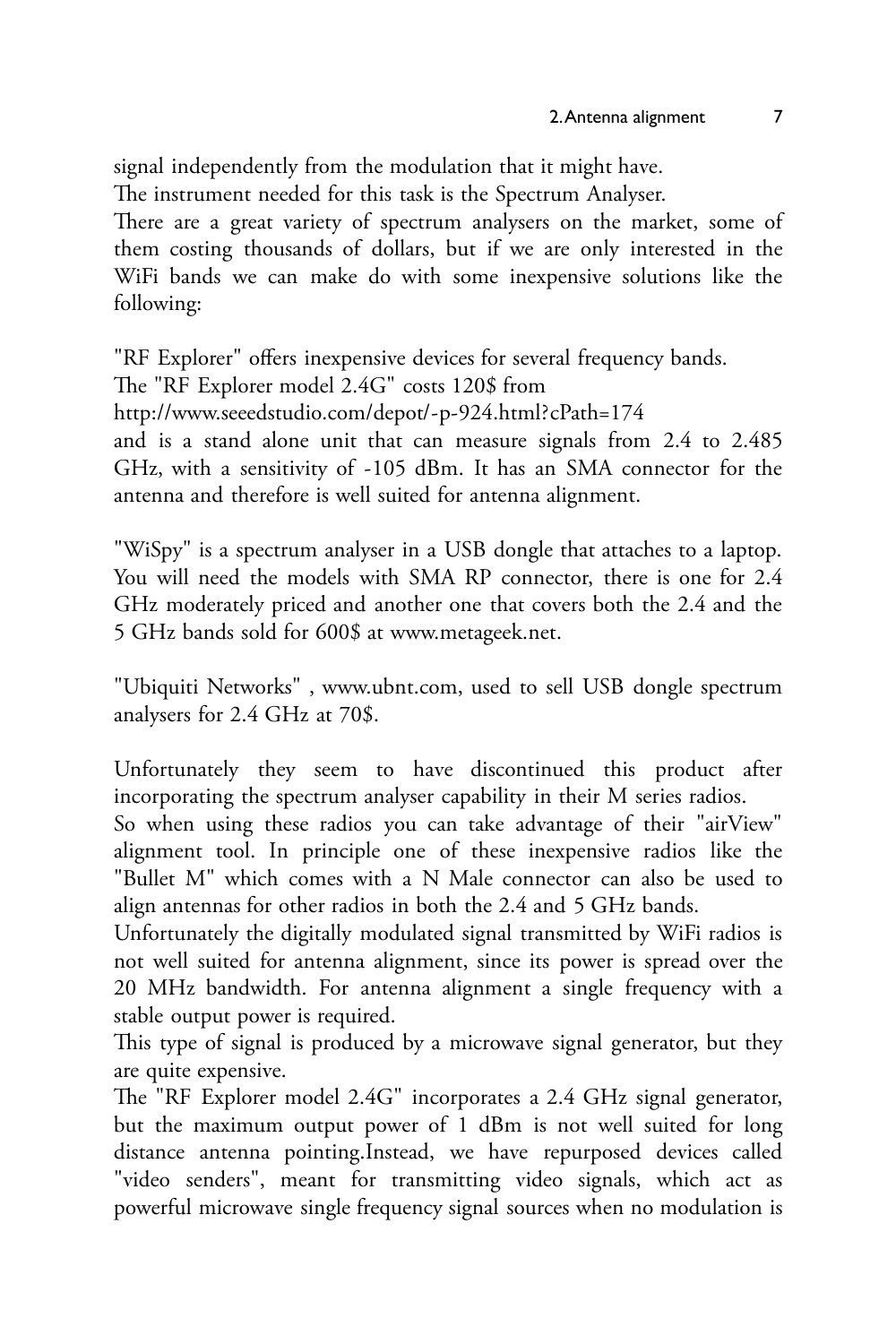signal independently from the modulation that it might have.

The instrument needed for this task is the Spectrum Analyser.

There are a great variety of spectrum analysers on the market, some of them costing thousands of dollars, but if we are only interested in the WiFi bands we can make do with some inexpensive solutions like the following:

"RF Explorer" offers inexpensive devices for several frequency bands.

The "RF Explorer model 2.4G" costs 120\$ from

<http://www.seeedstudio.com/depot/-p-924.html?cPath=174>

and is a stand alone unit that can measure signals from 2.4 to 2.485 GHz, with a sensitivity of -105 dBm. It has an SMA connector for the antenna and therefore is well suited for antenna alignment.

"WiSpy" is a spectrum analyser in a USB dongle that attaches to a laptop. You will need the models with SMA RP connector, there is one for 2.4 GHz moderately priced and another one that covers both the 2.4 and the 5 GHz bands sold for 600\$ at [www.metageek.net.](http://www.metageek.net/)

"Ubiquiti Networks" , [www.ubnt.com,](http://www.ubnt.com/) used to sell USB dongle spectrum analysers for 2.4 GHz at 70\$.

Unfortunately they seem to have discontinued this product after incorporating the spectrum analyser capability in their M series radios.

So when using these radios you can take advantage of their "airView" alignment tool. In principle one of these inexpensive radios like the "Bullet M" which comes with a N Male connector can also be used to align antennas for other radios in both the 2.4 and 5 GHz bands.

Unfortunately the digitally modulated signal transmitted by WiFi radios is not well suited for antenna alignment, since its power is spread over the 20 MHz bandwidth. For antenna alignment a single frequency with a stable output power is required.

This type of signal is produced by a microwave signal generator, but they are quite expensive.

The "RF Explorer model 2.4G" incorporates a 2.4 GHz signal generator, but the maximum output power of 1 dBm is not well suited for long distance antenna pointing.Instead, we have repurposed devices called "video senders", meant for transmitting video signals, which act as powerful microwave single frequency signal sources when no modulation is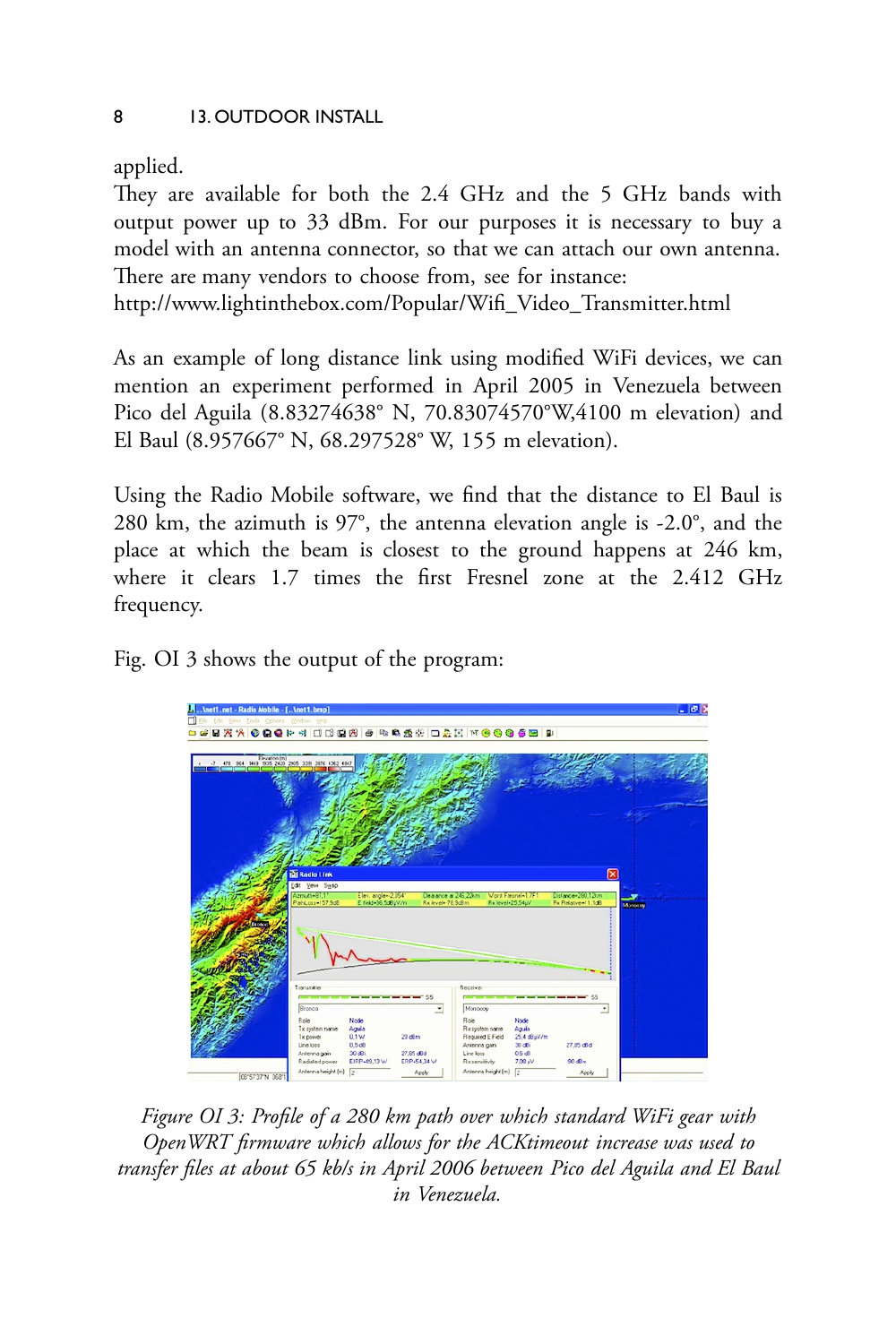applied.

They are available for both the 2.4 GHz and the 5 GHz bands with output power up to 33 dBm. For our purposes it is necessary to buy a model with an antenna connector, so that we can attach our own antenna. There are many vendors to choose from, see for instance:

[http://www.lightinthebox.com/Popular/Wifi\\_Video\\_Transmitter.html](http://www.lightinthebox.com/Popular/Wifi_Video_Transmitter.html)

As an example of long distance link using modified WiFi devices, we can mention an experiment performed in April 2005 in Venezuela between Pico del Aguila (8.83274638° N, 70.83074570°W,4100 m elevation) and El Baul (8.957667° N, 68.297528° W, 155 m elevation).

Using the Radio Mobile software, we find that the distance to El Baul is 280 km, the azimuth is 97°, the antenna elevation angle is -2.0°, and the place at which the beam is closest to the ground happens at 246 km, where it clears 1.7 times the first Fresnel zone at the 2.412 GHz frequency.

Fig. OI 3 shows the output of the program:



*Figure OI 3: Profile of a 280 km path over which standard WiFi gear with OpenWRT firmware which allows for the ACKtimeout increase was used to transfer files at about 65 kb/s in April 2006 between Pico del Aguila and El Baul in Venezuela.*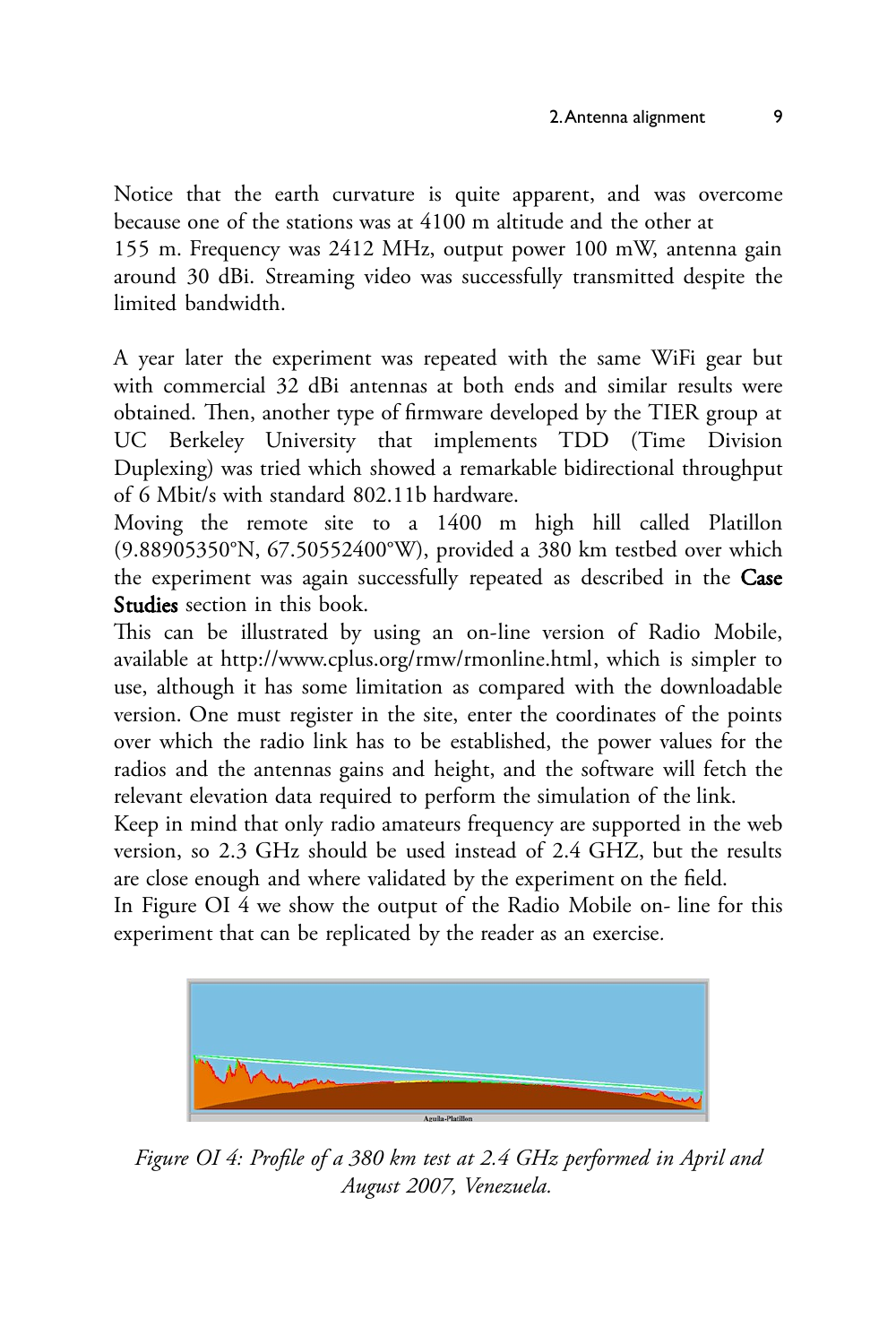Notice that the earth curvature is quite apparent, and was overcome because one of the stations was at 4100 m altitude and the other at 155 m. Frequency was 2412 MHz, output power 100 mW, antenna gain around 30 dBi. Streaming video was successfully transmitted despite the limited bandwidth.

A year later the experiment was repeated with the same WiFi gear but with commercial 32 dBi antennas at both ends and similar results were obtained. Then, another type of firmware developed by the TIER group at UC Berkeley University that implements TDD (Time Division Duplexing) was tried which showed a remarkable bidirectional throughput of 6 Mbit/s with standard 802.11b hardware.

Moving the remote site to a 1400 m high hill called Platillon (9.88905350°N, 67.50552400°W), provided a 380 km testbed over which the experiment was again successfully repeated as described in the Case Studies section in this book.

This can be illustrated by using an on-line version of Radio Mobile, available at <http://www.cplus.org/rmw/rmonline.html>, which is simpler to use, although it has some limitation as compared with the downloadable version. One must register in the site, enter the coordinates of the points over which the radio link has to be established, the power values for the radios and the antennas gains and height, and the software will fetch the relevant elevation data required to perform the simulation of the link.

Keep in mind that only radio amateurs frequency are supported in the web version, so 2.3 GHz should be used instead of 2.4 GHZ, but the results are close enough and where validated by the experiment on the field.

In Figure OI 4 we show the output of the Radio Mobile on- line for this experiment that can be replicated by the reader as an exercise*.*



*Figure OI 4: Profile of a 380 km test at 2.4 GHz performed in April and August 2007, Venezuela.*